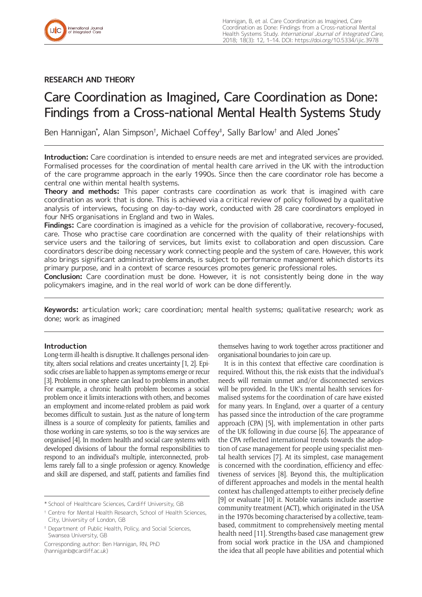

# **RESEARCH AND THEORY**

# Care Coordination as Imagined, Care Coordination as Done: Findings from a Cross-national Mental Health Systems Study

Ben Hannigan\* , Alan Simpson† , Michael Coffey‡ , Sally Barlow† and Aled Jones\*

**Introduction:** Care coordination is intended to ensure needs are met and integrated services are provided. Formalised processes for the coordination of mental health care arrived in the UK with the introduction of the care programme approach in the early 1990s. Since then the care coordinator role has become a central one within mental health systems.

**Theory and methods:** This paper contrasts care coordination as work that is imagined with care coordination as work that is done. This is achieved via a critical review of policy followed by a qualitative analysis of interviews, focusing on day-to-day work, conducted with 28 care coordinators employed in four NHS organisations in England and two in Wales.

**Findings:** Care coordination is imagined as a vehicle for the provision of collaborative, recovery-focused, care. Those who practise care coordination are concerned with the quality of their relationships with service users and the tailoring of services, but limits exist to collaboration and open discussion. Care coordinators describe doing necessary work connecting people and the system of care. However, this work also brings significant administrative demands, is subject to performance management which distorts its primary purpose, and in a context of scarce resources promotes generic professional roles.

**Conclusion:** Care coordination must be done. However, it is not consistently being done in the way policymakers imagine, and in the real world of work can be done differently.

**Keywords:** articulation work; care coordination; mental health systems; qualitative research; work as done; work as imagined

## **Introduction**

Long-term ill-health is disruptive. It challenges personal identity, alters social relations and creates uncertainty [1, 2]. Episodic crises are liable to happen as symptoms emerge or recur [3]. Problems in one sphere can lead to problems in another. For example, a chronic health problem becomes a social problem once it limits interactions with others, and becomes an employment and income-related problem as paid work becomes difficult to sustain. Just as the nature of long-term illness is a source of complexity for patients, families and those working in care systems, so too is the way services are organised [4]. In modern health and social care systems with developed divisions of labour the formal responsibilities to respond to an individual's multiple, interconnected, problems rarely fall to a single profession or agency. Knowledge and skill are dispersed, and staff, patients and families find

Corresponding author: Ben Hannigan, RN, PhD [\(hanniganb@cardiff.ac.uk\)](mailto:hanniganb@cardiff.ac.uk)

themselves having to work together across practitioner and organisational boundaries to join care up.

It is in this context that effective care coordination is required. Without this, the risk exists that the individual's needs will remain unmet and/or disconnected services will be provided. In the UK's mental health services formalised systems for the coordination of care have existed for many years. In England, over a quarter of a century has passed since the introduction of the care programme approach (CPA) [5], with implementation in other parts of the UK following in due course [6]. The appearance of the CPA reflected international trends towards the adoption of case management for people using specialist mental health services [7]. At its simplest, case management is concerned with the coordination, efficiency and effectiveness of services [8]. Beyond this, the multiplication of different approaches and models in the mental health context has challenged attempts to either precisely define [9] or evaluate [10] it. Notable variants include assertive community treatment (ACT), which originated in the USA in the 1970s becoming characterised by a collective, teambased, commitment to comprehensively meeting mental health need [11]. Strengths-based case management grew from social work practice in the USA and championed the idea that all people have abilities and potential which

<sup>\*</sup> School of Healthcare Sciences, Cardiff University, GB

<sup>†</sup> Centre for Mental Health Research, School of Health Sciences, City, University of London, GB

<sup>‡</sup> Department of Public Health, Policy, and Social Sciences, Swansea University, GB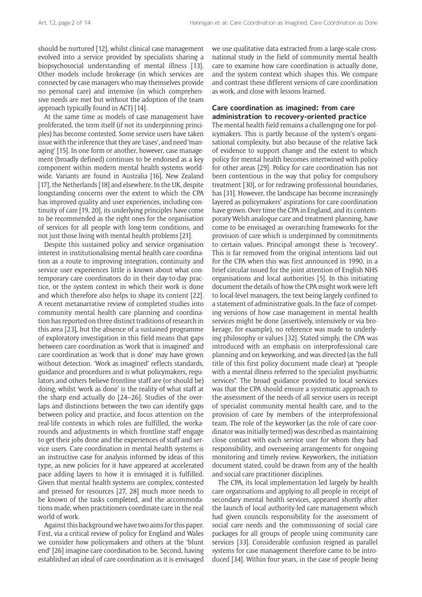should be nurtured [12], whilst clinical case management evolved into a service provided by specialists sharing a biopsychosocial understanding of mental illness [13]. Other models include brokerage (in which services are connected by case managers who may themselves provide no personal care) and intensive (in which comprehensive needs are met but without the adoption of the team approach typically found in ACT) [14].

At the same time as models of case management have proliferated, the term itself (if not its underpinning principles) has become contested. Some service users have taken issue with the inference that they are 'cases', and need 'managing' [15]. In one form or another, however, case management (broadly defined) continues to be endorsed as a key component within modern mental health systems worldwide. Variants are found in Australia [16], New Zealand [17], the Netherlands [18] and elsewhere. In the UK, despite longstanding concerns over the extent to which the CPA has improved quality and user experiences, including continuity of care [19, 20], its underlying principles have come to be recommended as the right ones for the organisation of services for all people with long-term conditions, and not just those living with mental health problems [21].

Despite this sustained policy and service organisation interest in institutionalising mental health care coordination as a route to improving integration, continuity and service user experiences little is known about what contemporary care coordinators do in their day-to-day practice, or the system context in which their work is done and which therefore also helps to shape its content [22]. A recent metanarrative review of completed studies into community mental health care planning and coordination has reported on three distinct traditions of research in this area [23], but the absence of a sustained programme of exploratory investigation in this field means that gaps between care coordination as 'work that is imagined' and care coordination as 'work that is done' may have grown without detection. 'Work as imagined' reflects standards, guidance and procedures and is what policymakers, regulators and others believe frontline staff are (or should be) doing, whilst 'work as done' is the reality of what staff at the sharp end actually do [24–26]. Studies of the overlaps and distinctions between the two can identify gaps between policy and practice, and focus attention on the real-life contexts in which roles are fulfilled, the workarounds and adjustments in which frontline staff engage to get their jobs done and the experiences of staff and service users. Care coordination in mental health systems is an instructive case for analysis informed by ideas of this type, as new policies for it have appeared at accelerated pace adding layers to how it is envisaged it is fulfilled. Given that mental health systems are complex, contested and pressed for resources [27, 28] much more needs to be known of the tasks completed, and the accommodations made, when practitioners coordinate care in the real world of work.

Against this background we have two aims for this paper. First, via a critical review of policy for England and Wales we consider how policymakers and others at the 'blunt end' [26] imagine care coordination to be. Second, having established an ideal of care coordination as it is envisaged we use qualitative data extracted from a large-scale crossnational study in the field of community mental health care to examine how care coordination is actually done, and the system context which shapes this. We compare and contrast these different versions of care coordination as work, and close with lessons learned.

#### **Care coordination as imagined: from care administration to recovery-oriented practice**

The mental health field remains a challenging one for policymakers. This is partly because of the system's organisational complexity, but also because of the relative lack of evidence to support change and the extent to which policy for mental health becomes intertwined with policy for other areas [29]. Policy for care coordination has not been contentious in the way that policy for compulsory treatment [30], or for redrawing professional boundaries, has [31]. However, the landscape has become increasingly layered as policymakers' aspirations for care coordination have grown. Over time the CPA in England, and its contemporary Welsh analogue care and treatment planning, have come to be envisaged as overarching frameworks for the provision of care which is underpinned by commitments to certain values. Principal amongst these is 'recovery'. This is far removed from the original intentions laid out for the CPA when this was first announced in 1990, in a brief circular issued for the joint attention of English NHS organisations and local authorities [5]. In this initiating document the details of how the CPA might work were left to local-level managers, the text being largely confined to a statement of administrative goals. In the face of competing versions of how case management in mental health services might be done (assertively, intensively or via brokerage, for example), no reference was made to underlying philosophy or values [32]. Stated simply, the CPA was introduced with an emphasis on interprofessional care planning and on keyworking, and was directed (as the full title of this first policy document made clear) at "people with a mental illness referred to the specialist psychiatric services". The broad guidance provided to local services was that the CPA should ensure a systematic approach to the assessment of the needs of all service users in receipt of specialist community mental health care, and to the provision of care by members of the interprofessional team. The role of the keyworker (as the role of care coordinator was initially termed) was described as maintaining close contact with each service user for whom they had responsibility, and overseeing arrangements for ongoing monitoring and timely review. Keyworkers, the initiation document stated, could be drawn from any of the health and social care practitioner disciplines.

The CPA, its local implementation led largely by health care organisations and applying to all people in receipt of secondary mental health services, appeared shortly after the launch of local authority-led care management which had given councils responsibility for the assessment of social care needs and the commissioning of social care packages for all groups of people using community care services [33]. Considerable confusion reigned as parallel systems for case management therefore came to be introduced [34]. Within four years, in the case of people being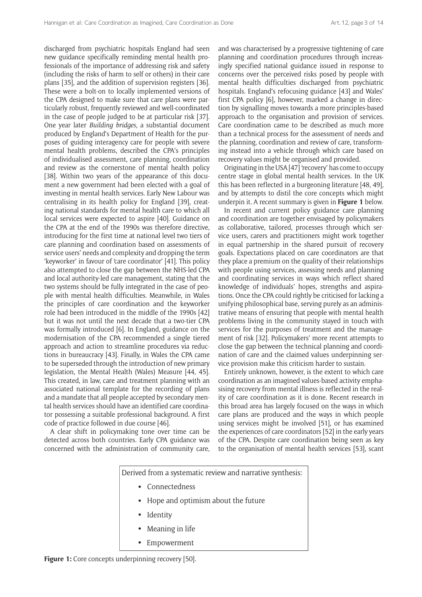discharged from psychiatric hospitals England had seen new guidance specifically reminding mental health professionals of the importance of addressing risk and safety (including the risks of harm to self or others) in their care plans [35], and the addition of supervision registers [36]. These were a bolt-on to locally implemented versions of the CPA designed to make sure that care plans were particularly robust, frequently reviewed and well-coordinated in the case of people judged to be at particular risk [37]. One year later *Building bridges*, a substantial document produced by England's Department of Health for the purposes of guiding interagency care for people with severe mental health problems, described the CPA's principles of individualised assessment, care planning, coordination and review as the cornerstone of mental health policy [38]. Within two years of the appearance of this document a new government had been elected with a goal of investing in mental health services. Early New Labour was centralising in its health policy for England [39], creating national standards for mental health care to which all local services were expected to aspire [40]. Guidance on the CPA at the end of the 1990s was therefore directive, introducing for the first time at national level two tiers of care planning and coordination based on assessments of service users' needs and complexity and dropping the term 'keyworker' in favour of 'care coordinator' [41]. This policy also attempted to close the gap between the NHS-led CPA and local authority-led care management, stating that the two systems should be fully integrated in the case of people with mental health difficulties. Meanwhile, in Wales the principles of care coordination and the keyworker role had been introduced in the middle of the 1990s [42] but it was not until the next decade that a two-tier CPA was formally introduced [6]. In England, guidance on the modernisation of the CPA recommended a single tiered approach and action to streamline procedures via reductions in bureaucracy [43]. Finally, in Wales the CPA came to be superseded through the introduction of new primary legislation, the Mental Health (Wales) Measure [44, 45]. This created, in law, care and treatment planning with an associated national template for the recording of plans and a mandate that all people accepted by secondary mental health services should have an identified care coordinator possessing a suitable professional background. A first code of practice followed in due course [46].

A clear shift in policymaking tone over time can be detected across both countries. Early CPA guidance was concerned with the administration of community care, and was characterised by a progressive tightening of care planning and coordination procedures through increasingly specified national guidance issued in response to concerns over the perceived risks posed by people with mental health difficulties discharged from psychiatric hospitals. England's refocusing guidance [43] and Wales' first CPA policy [6], however, marked a change in direction by signalling moves towards a more principles-based approach to the organisation and provision of services. Care coordination came to be described as much more than a technical process for the assessment of needs and the planning, coordination and review of care, transforming instead into a vehicle through which care based on recovery values might be organised and provided.

Originating in the USA [47] 'recovery' has come to occupy centre stage in global mental health services. In the UK this has been reflected in a burgeoning literature [48, 49], and by attempts to distil the core concepts which might underpin it. A recent summary is given in **Figure 1** below.

In recent and current policy guidance care planning and coordination are together envisaged by policymakers as collaborative, tailored, processes through which service users, carers and practitioners might work together in equal partnership in the shared pursuit of recovery goals. Expectations placed on care coordinators are that they place a premium on the quality of their relationships with people using services, assessing needs and planning and coordinating services in ways which reflect shared knowledge of individuals' hopes, strengths and aspirations. Once the CPA could rightly be criticised for lacking a unifying philosophical base, serving purely as an administrative means of ensuring that people with mental health problems living in the community stayed in touch with services for the purposes of treatment and the management of risk [32]. Policymakers' more recent attempts to close the gap between the technical planning and coordination of care and the claimed values underpinning service provision make this criticism harder to sustain.

Entirely unknown, however, is the extent to which care coordination as an imagined values-based activity emphasising recovery from mental illness is reflected in the reality of care coordination as it is done. Recent research in this broad area has largely focused on the ways in which care plans are produced and the ways in which people using services might be involved [51], or has examined the experiences of care coordinators [52] in the early years of the CPA. Despite care coordination being seen as key to the organisation of mental health services [53], scant

Derived from a systematic review and narrative synthesis:  $\bullet$  $\bullet$  $\bullet$ Identity Hope and optimism about the future Connectedness

- $\bullet$ Meaning in life
- Empowerment

#### Figure 1: Core concepts underpinning recovery [50].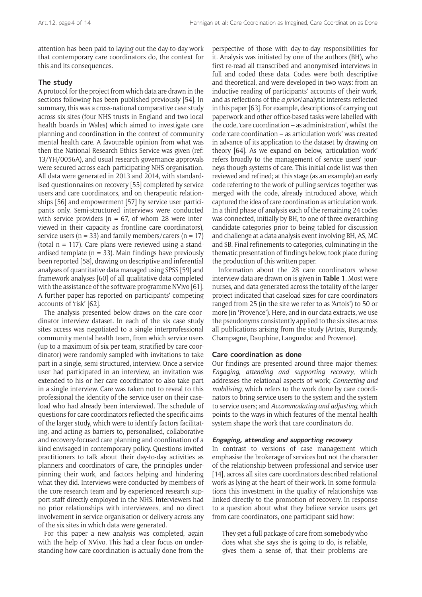attention has been paid to laying out the day-to-day work that contemporary care coordinators do, the context for this and its consequences.

## **The study**

A protocol for the project from which data are drawn in the sections following has been published previously [54]. In summary, this was a cross-national comparative case study across six sites (four NHS trusts in England and two local health boards in Wales) which aimed to investigate care planning and coordination in the context of community mental health care. A favourable opinion from what was then the National Research Ethics Service was given (ref: 13/YH/0056A), and usual research governance approvals were secured across each participating NHS organisation. All data were generated in 2013 and 2014, with standardised questionnaires on recovery [55] completed by service users and care coordinators, and on therapeutic relationships [56] and empowerment [57] by service user participants only. Semi-structured interviews were conducted with service providers ( $n = 67$ , of whom 28 were interviewed in their capacity as frontline care coordinators), service users ( $n = 33$ ) and family members/carers ( $n = 17$ ) (total  $n = 117$ ). Care plans were reviewed using a standardised template ( $n = 33$ ). Main findings have previously been reported [58], drawing on descriptive and inferential analyses of quantitative data managed using SPSS [59] and framework analyses [60] of all qualitative data completed with the assistance of the software programme NVivo [61]. A further paper has reported on participants' competing accounts of 'risk' [62].

The analysis presented below draws on the care coordinator interview dataset. In each of the six case study sites access was negotiated to a single interprofessional community mental health team, from which service users (up to a maximum of six per team, stratified by care coordinator) were randomly sampled with invitations to take part in a single, semi-structured, interview. Once a service user had participated in an interview, an invitation was extended to his or her care coordinator to also take part in a single interview. Care was taken not to reveal to this professional the identity of the service user on their caseload who had already been interviewed. The schedule of questions for care coordinators reflected the specific aims of the larger study, which were to identify factors facilitating, and acting as barriers to, personalised, collaborative and recovery-focused care planning and coordination of a kind envisaged in contemporary policy. Questions invited practitioners to talk about their day-to-day activities as planners and coordinators of care, the principles underpinning their work, and factors helping and hindering what they did. Interviews were conducted by members of the core research team and by experienced research support staff directly employed in the NHS. Interviewers had no prior relationships with interviewees, and no direct involvement in service organisation or delivery across any of the six sites in which data were generated.

For this paper a new analysis was completed, again with the help of NVivo. This had a clear focus on understanding how care coordination is actually done from the perspective of those with day-to-day responsibilities for it. Analysis was initiated by one of the authors (BH), who first re-read all transcribed and anonymised interviews in full and coded these data. Codes were both descriptive and theoretical, and were developed in two ways: from an inductive reading of participants' accounts of their work, and as reflections of the *a priori* analytic interests reflected in this paper [63]. For example, descriptions of carrying out paperwork and other office-based tasks were labelled with the code, 'care coordination – as administration', whilst the code 'care coordination – as articulation work' was created in advance of its application to the dataset by drawing on theory [64]. As we expand on below, 'articulation work' refers broadly to the management of service users' journeys though systems of care. This initial code list was then reviewed and refined; at this stage (as an example) an early code referring to the work of pulling services together was merged with the code, already introduced above, which captured the idea of care coordination as articulation work. In a third phase of analysis each of the remaining 24 codes was connected, initially by BH, to one of three overarching candidate categories prior to being tabled for discussion and challenge at a data analysis event involving BH, AS, MC and SB. Final refinements to categories, culminating in the thematic presentation of findings below, took place during the production of this written paper.

Information about the 28 care coordinators whose interview data are drawn on is given in **Table 1**. Most were nurses, and data generated across the totality of the larger project indicated that caseload sizes for care coordinators ranged from 25 (in the site we refer to as 'Artois') to 50 or more (in 'Provence'). Here, and in our data extracts, we use the pseudonyms consistently applied to the six sites across all publications arising from the study (Artois, Burgundy, Champagne, Dauphine, Languedoc and Provence).

#### **Care coordination as done**

Our findings are presented around three major themes: *Engaging*, *attending and supporting recovery*, which addresses the relational aspects of work; *Connecting and mobilising*, which refers to the work done by care coordinators to bring service users to the system and the system to service users; and *Accommodating and adjusting*, which points to the ways in which features of the mental health system shape the work that care coordinators do.

#### **Engaging, attending and supporting recovery**

In contrast to versions of case management which emphasise the brokerage of services but not the character of the relationship between professional and service user [14], across all sites care coordinators described relational work as lying at the heart of their work. In some formulations this investment in the quality of relationships was linked directly to the promotion of recovery. In response to a question about what they believe service users get from care coordinators, one participant said how:

They get a full package of care from somebody who does what she says she is going to do, is reliable, gives them a sense of, that their problems are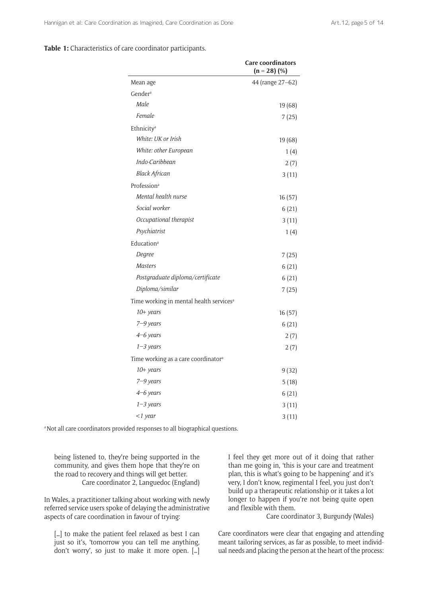## **Table 1:** Characteristics of care coordinator participants.

|                                                     | <b>Care coordinators</b><br>$(n = 28)$ (%) |
|-----------------------------------------------------|--------------------------------------------|
| Mean age                                            | 44 (range 27-62)                           |
| Gender <sup>a</sup>                                 |                                            |
| Male                                                | 19(68)                                     |
| Female                                              | 7(25)                                      |
| Ethnicity <sup>a</sup>                              |                                            |
| White: UK or Irish                                  | 19(68)                                     |
| White: other European                               | 1(4)                                       |
| Indo-Caribbean                                      | 2(7)                                       |
| <b>Black African</b>                                | 3(11)                                      |
| Profession <sup>a</sup>                             |                                            |
| Mental health nurse                                 | 16(57)                                     |
| Social worker                                       | 6(21)                                      |
| Occupational therapist                              | 3(11)                                      |
| Psychiatrist                                        | 1(4)                                       |
| Education <sup>a</sup>                              |                                            |
| Degree                                              | 7(25)                                      |
| <b>Masters</b>                                      | 6(21)                                      |
| Postgraduate diploma/certificate                    | 6(21)                                      |
| Diploma/similar                                     | 7(25)                                      |
| Time working in mental health services <sup>a</sup> |                                            |
| 10+ years                                           | 16(57)                                     |
| 7–9 years                                           | 6(21)                                      |
| $4-6$ years                                         | 2(7)                                       |
| $1 - 3$ years                                       | 2(7)                                       |
| Time working as a care coordinator <sup>a</sup>     |                                            |
| 10+ years                                           | 9(32)                                      |
| $7 - 9$ years                                       | 5(18)                                      |
| 4–6 years                                           | 6(21)                                      |
| $1 - 3$ years                                       | 3(11)                                      |
| $<$ 1 year                                          | 3(11)                                      |

a Not all care coordinators provided responses to all biographical questions.

being listened to, they're being supported in the community, and gives them hope that they're on the road to recovery and things will get better. Care coordinator 2, Languedoc (England)

In Wales, a practitioner talking about working with newly referred service users spoke of delaying the administrative aspects of care coordination in favour of trying:

[...] to make the patient feel relaxed as best I can just so it's, 'tomorrow you can tell me anything, don't worry', so just to make it more open. […] I feel they get more out of it doing that rather than me going in, 'this is your care and treatment plan, this is what's going to be happening' and it's very, I don't know, regimental I feel, you just don't build up a therapeutic relationship or it takes a lot longer to happen if you're not being quite open and flexible with them.

Care coordinator 3, Burgundy (Wales)

Care coordinators were clear that engaging and attending meant tailoring services, as far as possible, to meet individual needs and placing the person at the heart of the process: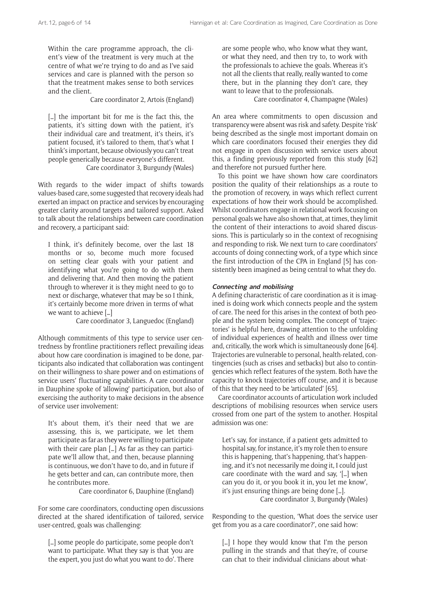Within the care programme approach, the client's view of the treatment is very much at the centre of what we're trying to do and as I've said services and care is planned with the person so that the treatment makes sense to both services and the client.

Care coordinator 2, Artois (England)

[...] the important bit for me is the fact this, the patients, it's sitting down with the patient, it's their individual care and treatment, it's theirs, it's patient focused, it's tailored to them, that's what I think's important, because obviously you can't treat people generically because everyone's different. Care coordinator 3, Burgundy (Wales)

With regards to the wider impact of shifts towards values-based care, some suggested that recovery ideals had exerted an impact on practice and services by encouraging greater clarity around targets and tailored support. Asked to talk about the relationships between care coordination and recovery, a participant said:

I think, it's definitely become, over the last 18 months or so, become much more focused on setting clear goals with your patient and identifying what you're going to do with them and delivering that. And then moving the patient through to wherever it is they might need to go to next or discharge, whatever that may be so I think, it's certainly become more driven in terms of what we want to achieve […]

Care coordinator 3, Languedoc (England)

Although commitments of this type to service user centredness by frontline practitioners reflect prevailing ideas about how care coordination is imagined to be done, participants also indicated that collaboration was contingent on their willingness to share power and on estimations of service users' fluctuating capabilities. A care coordinator in Dauphine spoke of 'allowing' participation, but also of exercising the authority to make decisions in the absence of service user involvement:

It's about them, it's their need that we are assessing, this is, we participate, we let them participate as far as they were willing to participate with their care plan [...] As far as they can participate we'll allow that, and then, because planning is continuous, we don't have to do, and in future if he gets better and can, can contribute more, then he contributes more.

Care coordinator 6, Dauphine (England)

For some care coordinators, conducting open discussions directed at the shared identification of tailored, service user-centred, goals was challenging:

[…] some people do participate, some people don't want to participate. What they say is that 'you are the expert, you just do what you want to do'. There

are some people who, who know what they want, or what they need, and then try to, to work with the professionals to achieve the goals. Whereas it's not all the clients that really, really wanted to come there, but in the planning they don't care, they want to leave that to the professionals.

Care coordinator 4, Champagne (Wales)

An area where commitments to open discussion and transparency were absent was risk and safety. Despite 'risk' being described as the single most important domain on which care coordinators focused their energies they did not engage in open discussion with service users about this, a finding previously reported from this study [62] and therefore not pursued further here.

To this point we have shown how care coordinators position the quality of their relationships as a route to the promotion of recovery, in ways which reflect current expectations of how their work should be accomplished. Whilst coordinators engage in relational work focusing on personal goals we have also shown that, at times, they limit the content of their interactions to avoid shared discussions. This is particularly so in the context of recognising and responding to risk. We next turn to care coordinators' accounts of doing connecting work, of a type which since the first introduction of the CPA in England [5] has consistently been imagined as being central to what they do.

#### **Connecting and mobilising**

A defining characteristic of care coordination as it is imagined is doing work which connects people and the system of care. The need for this arises in the context of both people and the system being complex. The concept of 'trajectories' is helpful here, drawing attention to the unfolding of individual experiences of health and illness over time and, critically, the work which is simultaneously done [64]. Trajectories are vulnerable to personal, health-related, contingencies (such as crises and setbacks) but also to contingencies which reflect features of the system. Both have the capacity to knock trajectories off course, and it is because of this that they need to be 'articulated' [65].

Care coordinator accounts of articulation work included descriptions of mobilising resources when service users crossed from one part of the system to another. Hospital admission was one:

Let's say, for instance, if a patient gets admitted to hospital say, for instance, it's my role then to ensure this is happening, that's happening, that's happening, and it's not necessarily me doing it, I could just care coordinate with the ward and say, '[…] when can you do it, or you book it in, you let me know', it's just ensuring things are being done […]. Care coordinator 3, Burgundy (Wales)

Responding to the question, 'What does the service user get from you as a care coordinator?', one said how:

[...] I hope they would know that I'm the person pulling in the strands and that they're, of course can chat to their individual clinicians about what-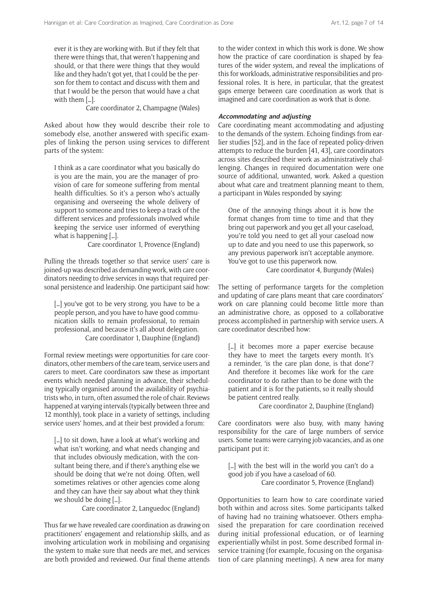ever it is they are working with. But if they felt that there were things that, that weren't happening and should, or that there were things that they would like and they hadn't got yet, that I could be the person for them to contact and discuss with them and that I would be the person that would have a chat with them […].

Care coordinator 2, Champagne (Wales)

Asked about how they would describe their role to somebody else, another answered with specific examples of linking the person using services to different parts of the system:

I think as a care coordinator what you basically do is you are the main, you are the manager of provision of care for someone suffering from mental health difficulties. So it's a person who's actually organising and overseeing the whole delivery of support to someone and tries to keep a track of the different services and professionals involved while keeping the service user informed of everything what is happening […].

Care coordinator 1, Provence (England)

Pulling the threads together so that service users' care is joined-up was described as demanding work, with care coordinators needing to drive services in ways that required personal persistence and leadership. One participant said how:

[...] you've got to be very strong, you have to be a people person, and you have to have good communication skills to remain professional, to remain professional, and because it's all about delegation. Care coordinator 1, Dauphine (England)

Formal review meetings were opportunities for care coordinators, other members of the care team, service users and carers to meet. Care coordinators saw these as important events which needed planning in advance, their scheduling typically organised around the availability of psychiatrists who, in turn, often assumed the role of chair. Reviews happened at varying intervals (typically between three and 12 monthly), took place in a variety of settings, including service users' homes, and at their best provided a forum:

[...] to sit down, have a look at what's working and what isn't working, and what needs changing and that includes obviously medication, with the consultant being there, and if there's anything else we should be doing that we're not doing. Often, well sometimes relatives or other agencies come along and they can have their say about what they think we should be doing […].

Care coordinator 2, Languedoc (England)

Thus far we have revealed care coordination as drawing on practitioners' engagement and relationship skills, and as involving articulation work in mobilising and organising the system to make sure that needs are met, and services are both provided and reviewed. Our final theme attends to the wider context in which this work is done. We show how the practice of care coordination is shaped by features of the wider system, and reveal the implications of this for workloads, administrative responsibilities and professional roles. It is here, in particular, that the greatest gaps emerge between care coordination as work that is imagined and care coordination as work that is done.

#### **Accommodating and adjusting**

Care coordinating meant accommodating and adjusting to the demands of the system. Echoing findings from earlier studies [52], and in the face of repeated policy-driven attempts to reduce the burden [41, 43], care coordinators across sites described their work as administratively challenging. Changes in required documentation were one source of additional, unwanted, work. Asked a question about what care and treatment planning meant to them, a participant in Wales responded by saying:

One of the annoying things about it is how the format changes from time to time and that they bring out paperwork and you get all your caseload, you're told you need to get all your caseload now up to date and you need to use this paperwork, so any previous paperwork isn't acceptable anymore. You've got to use this paperwork now.

Care coordinator 4, Burgundy (Wales)

The setting of performance targets for the completion and updating of care plans meant that care coordinators' work on care planning could become little more than an administrative chore, as opposed to a collaborative process accomplished in partnership with service users. A care coordinator described how:

[...] it becomes more a paper exercise because they have to meet the targets every month. It's a reminder, 'is the care plan done, is that done'? And therefore it becomes like work for the care coordinator to do rather than to be done with the patient and it is for the patients, so it really should be patient centred really.

Care coordinator 2, Dauphine (England)

Care coordinators were also busy, with many having responsibility for the care of large numbers of service users. Some teams were carrying job vacancies, and as one participant put it:

[...] with the best will in the world you can't do a good job if you have a caseload of 60. Care coordinator 5, Provence (England)

Opportunities to learn how to care coordinate varied both within and across sites. Some participants talked of having had no training whatsoever. Others emphasised the preparation for care coordination received during initial professional education, or of learning experientially whilst in post. Some described formal inservice training (for example, focusing on the organisation of care planning meetings). A new area for many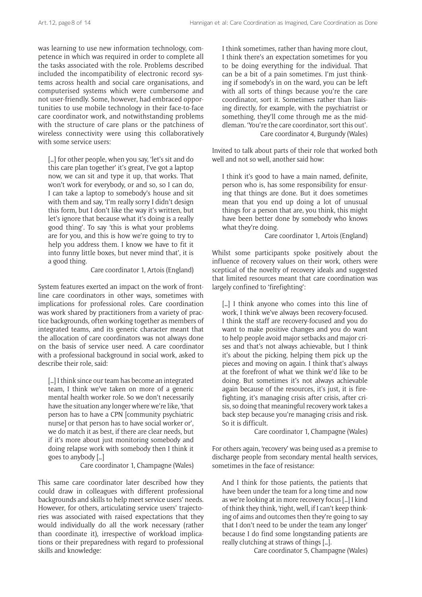was learning to use new information technology, competence in which was required in order to complete all the tasks associated with the role. Problems described included the incompatibility of electronic record systems across health and social care organisations, and computerised systems which were cumbersome and not user-friendly. Some, however, had embraced opportunities to use mobile technology in their face-to-face care coordinator work, and notwithstanding problems with the structure of care plans or the patchiness of wireless connectivity were using this collaboratively with some service users:

[...] for other people, when you say, 'let's sit and do this care plan together' it's great, I've got a laptop now, we can sit and type it up, that works. That won't work for everybody, or and so, so I can do, I can take a laptop to somebody's house and sit with them and say, 'I'm really sorry I didn't design this form, but I don't like the way it's written, but let's ignore that because what it's doing is a really good thing'. To say 'this is what your problems are for you, and this is how we're going to try to help you address them. I know we have to fit it into funny little boxes, but never mind that', it is a good thing.

Care coordinator 1, Artois (England)

System features exerted an impact on the work of frontline care coordinators in other ways, sometimes with implications for professional roles. Care coordination was work shared by practitioners from a variety of practice backgrounds, often working together as members of integrated teams, and its generic character meant that the allocation of care coordinators was not always done on the basis of service user need. A care coordinator with a professional background in social work, asked to describe their role, said:

[...] I think since our team has become an integrated team, I think we've taken on more of a generic mental health worker role. So we don't necessarily have the situation any longer where we're like, 'that person has to have a CPN [community psychiatric nurse] or that person has to have social worker or', we do match it as best, if there are clear needs, but if it's more about just monitoring somebody and doing relapse work with somebody then I think it goes to anybody […]

Care coordinator 1, Champagne (Wales)

This same care coordinator later described how they could draw in colleagues with different professional backgrounds and skills to help meet service users' needs. However, for others, articulating service users' trajectories was associated with raised expectations that they would individually do all the work necessary (rather than coordinate it), irrespective of workload implications or their preparedness with regard to professional skills and knowledge:

I think sometimes, rather than having more clout, I think there's an expectation sometimes for you to be doing everything for the individual. That can be a bit of a pain sometimes. I'm just thinking if somebody's in on the ward, you can be left with all sorts of things because you're the care coordinator, sort it. Sometimes rather than liaising directly, for example, with the psychiatrist or something, they'll come through me as the middleman. 'You're the care coordinator, sort this out'. Care coordinator 4, Burgundy (Wales)

Invited to talk about parts of their role that worked both well and not so well, another said how:

I think it's good to have a main named, definite, person who is, has some responsibility for ensuring that things are done. But it does sometimes mean that you end up doing a lot of unusual things for a person that are, you think, this might have been better done by somebody who knows what they're doing.

Care coordinator 1, Artois (England)

Whilst some participants spoke positively about the influence of recovery values on their work, others were sceptical of the novelty of recovery ideals and suggested that limited resources meant that care coordination was largely confined to 'firefighting':

[...] I think anyone who comes into this line of work, I think we've always been recovery-focused. I think the staff are recovery-focused and you do want to make positive changes and you do want to help people avoid major setbacks and major crises and that's not always achievable, but I think it's about the picking, helping them pick up the pieces and moving on again. I think that's always at the forefront of what we think we'd like to be doing. But sometimes it's not always achievable again because of the resources, it's just, it is firefighting, it's managing crisis after crisis, after crisis, so doing that meaningful recovery work takes a back step because you're managing crisis and risk. So it is difficult.

Care coordinator 1, Champagne (Wales)

For others again, 'recovery' was being used as a premise to discharge people from secondary mental health services, sometimes in the face of resistance:

And I think for those patients, the patients that have been under the team for a long time and now as we're looking at in more recovery focus […] I kind of think they think, 'right, well, if I can't keep thinking of aims and outcomes then they're going to say that I don't need to be under the team any longer' because I do find some longstanding patients are really clutching at straws of things […].

Care coordinator 5, Champagne (Wales)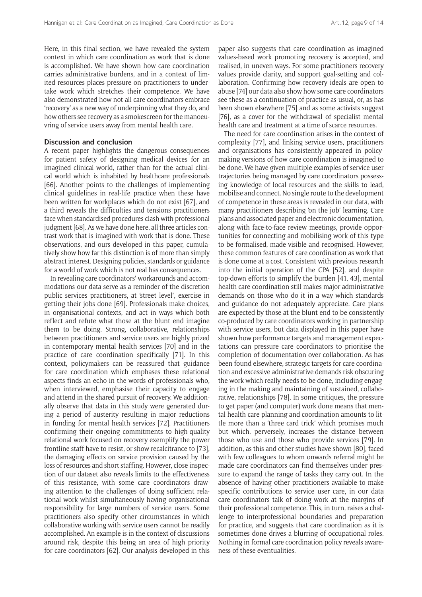Here, in this final section, we have revealed the system context in which care coordination as work that is done is accomplished. We have shown how care coordination carries administrative burdens, and in a context of limited resources places pressure on practitioners to undertake work which stretches their competence. We have also demonstrated how not all care coordinators embrace 'recovery' as a new way of underpinning what they do, and how others see recovery as a smokescreen for the manoeuvring of service users away from mental health care.

#### **Discussion and conclusion**

A recent paper highlights the dangerous consequences for patient safety of designing medical devices for an imagined clinical world, rather than for the actual clinical world which is inhabited by healthcare professionals [66]. Another points to the challenges of implementing clinical guidelines in real-life practice when these have been written for workplaces which do not exist [67], and a third reveals the difficulties and tensions practitioners face when standardised procedures clash with professional judgment [68]. As we have done here, all three articles contrast work that is imagined with work that is done. These observations, and ours developed in this paper, cumulatively show how far this distinction is of more than simply abstract interest. Designing policies, standards or guidance for a world of work which is not real has consequences.

In revealing care coordinators' workarounds and accommodations our data serve as a reminder of the discretion public services practitioners, at 'street level', exercise in getting their jobs done [69]. Professionals make choices, in organisational contexts, and act in ways which both reflect and refute what those at the blunt end imagine them to be doing. Strong, collaborative, relationships between practitioners and service users are highly prized in contemporary mental health services [70] and in the practice of care coordination specifically [71]. In this context, policymakers can be reassured that guidance for care coordination which emphases these relational aspects finds an echo in the words of professionals who, when interviewed, emphasise their capacity to engage and attend in the shared pursuit of recovery. We additionally observe that data in this study were generated during a period of austerity resulting in major reductions in funding for mental health services [72]. Practitioners confirming their ongoing commitments to high-quality relational work focused on recovery exemplify the power frontline staff have to resist, or show recalcitrance to [73], the damaging effects on service provision caused by the loss of resources and short staffing. However, close inspection of our dataset also reveals limits to the effectiveness of this resistance, with some care coordinators drawing attention to the challenges of doing sufficient relational work whilst simultaneously having organisational responsibility for large numbers of service users. Some practitioners also specify other circumstances in which collaborative working with service users cannot be readily accomplished. An example is in the context of discussions around risk, despite this being an area of high priority for care coordinators [62]. Our analysis developed in this paper also suggests that care coordination as imagined values-based work promoting recovery is accepted, and realised, in uneven ways. For some practitioners recovery values provide clarity, and support goal-setting and collaboration. Confirming how recovery ideals are open to abuse [74] our data also show how some care coordinators see these as a continuation of practice-as-usual, or, as has been shown elsewhere [75] and as some activists suggest [76], as a cover for the withdrawal of specialist mental health care and treatment at a time of scarce resources.

The need for care coordination arises in the context of complexity [77], and linking service users, practitioners and organisations has consistently appeared in policymaking versions of how care coordination is imagined to be done. We have given multiple examples of service user trajectories being managed by care coordinators possessing knowledge of local resources and the skills to lead, mobilise and connect. No single route to the development of competence in these areas is revealed in our data, with many practitioners describing 'on the job' learning. Care plans and associated paper and electronic documentation, along with face-to-face review meetings, provide opportunities for connecting and mobilising work of this type to be formalised, made visible and recognised. However, these common features of care coordination as work that is done come at a cost. Consistent with previous research into the initial operation of the CPA [52], and despite top-down efforts to simplify the burden [41, 43], mental health care coordination still makes major administrative demands on those who do it in a way which standards and guidance do not adequately appreciate. Care plans are expected by those at the blunt end to be consistently co-produced by care coordinators working in partnership with service users, but data displayed in this paper have shown how performance targets and management expectations can pressure care coordinators to prioritise the completion of documentation over collaboration. As has been found elsewhere, strategic targets for care coordination and excessive administrative demands risk obscuring the work which really needs to be done, including engaging in the making and maintaining of sustained, collaborative, relationships [78]. In some critiques, the pressure to get paper (and computer) work done means that mental health care planning and coordination amounts to little more than a 'three card trick' which promises much but which, perversely, increases the distance between those who use and those who provide services [79]. In addition, as this and other studies have shown [80], faced with few colleagues to whom onwards referral might be made care coordinators can find themselves under pressure to expand the range of tasks they carry out. In the absence of having other practitioners available to make specific contributions to service user care, in our data care coordinators talk of doing work at the margins of their professional competence. This, in turn, raises a challenge to interprofessional boundaries and preparation for practice, and suggests that care coordination as it is sometimes done drives a blurring of occupational roles. Nothing in formal care coordination policy reveals awareness of these eventualities.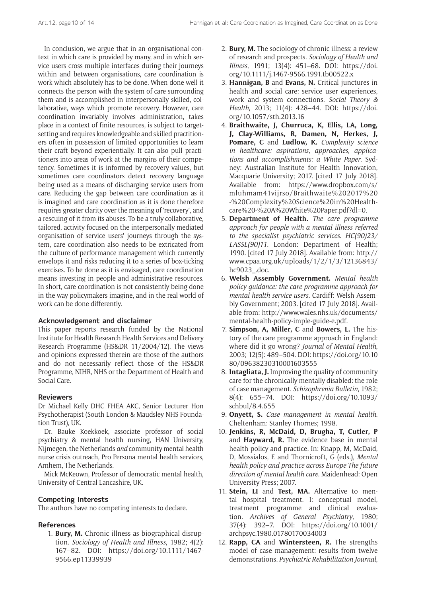In conclusion, we argue that in an organisational context in which care is provided by many, and in which service users cross multiple interfaces during their journeys within and between organisations, care coordination is work which absolutely has to be done. When done well it connects the person with the system of care surrounding them and is accomplished in interpersonally skilled, collaborative, ways which promote recovery. However, care coordination invariably involves administration, takes place in a context of finite resources, is subject to targetsetting and requires knowledgeable and skilled practitioners often in possession of limited opportunities to learn their craft beyond experientially. It can also pull practitioners into areas of work at the margins of their competency. Sometimes it is informed by recovery values, but sometimes care coordinators detect recovery language being used as a means of discharging service users from care. Reducing the gap between care coordination as it is imagined and care coordination as it is done therefore requires greater clarity over the meaning of 'recovery', and a rescuing of it from its abuses. To be a truly collaborative, tailored, activity focused on the interpersonally mediated organisation of service users' journeys through the system, care coordination also needs to be extricated from the culture of performance management which currently envelops it and risks reducing it to a series of box-ticking exercises. To be done as it is envisaged, care coordination means investing in people and administrative resources. In short, care coordination is not consistently being done in the way policymakers imagine, and in the real world of work can be done differently.

# **Acknowledgement and disclaimer**

This paper reports research funded by the National Institute for Health Research Health Services and Delivery Research Programme (HS&DR 11/2004/12). The views and opinions expressed therein are those of the authors and do not necessarily reflect those of the HS&DR Programme, NIHR, NHS or the Department of Health and Social Care.

# **Reviewers**

Dr Michael Kelly DHC FHEA AKC, Senior Lecturer Hon Psychotherapist (South London & Maudsley NHS Foundation Trust), UK.

Dr. Bauke Koekkoek, associate professor of social psychiatry & mental health nursing, HAN University, Nijmegen, the Netherlands *and* community mental health nurse crisis outreach, Pro Persona mental health services, Arnhem, The Netherlands.

Mick McKeown, Professor of democratic mental health, University of Central Lancashire, UK.

# **Competing Interests**

The authors have no competing interests to declare.

## **References**

1. **Bury, M.** Chronic illness as biographical disruption. *Sociology of Health and Illness*, 1982; 4(2): 167–82. DOI: [https://doi.org/10.1111/1467-](https://doi.org/10.1111/1467-9566.ep11339939) [9566.ep11339939](https://doi.org/10.1111/1467-9566.ep11339939)

- 2. **Bury, M.** The sociology of chronic illness: a review of research and prospects. *Sociology of Health and Illness*, 1991; 13(4): 451–68. DOI: [https://doi.](https://doi.org/10.1111/j.1467-9566.1991.tb00522.x) [org/10.1111/j.1467-9566.1991.tb00522.x](https://doi.org/10.1111/j.1467-9566.1991.tb00522.x)
- 3. **Hannigan, B** and **Evans, N.** Critical junctures in health and social care: service user experiences, work and system connections. *Social Theory & Health*, 2013; 11(4): 428–44. DOI: [https://doi.](https://doi.org/10.1057/sth.2013.16) [org/10.1057/sth.2013.16](https://doi.org/10.1057/sth.2013.16)
- 4. **Braithwaite, J, Churruca, K, Ellis, LA, Long, J, Clay-Williams, R, Damen, N, Herkes, J, Pomare, C** and **Ludlow, K.** *Complexity science in healthcare: aspirations*, *approaches*, *applications and accomplishments: a White Paper*. Sydney: Australian Institute for Health Innovation, Macquarie University; 2017. [cited 17 July 2018]. Available from: [https://www.dropbox.com/s/](https://www.dropbox.com/s/mluhmam41vijrso/Braithwaite%202017%20-%20Complexity%20Science%20in%20Healthcare%20-%20A%20White%20Paper.pdf?dl=0) [mluhmam41vijrso/Braithwaite%202017%20](https://www.dropbox.com/s/mluhmam41vijrso/Braithwaite%202017%20-%20Complexity%20Science%20in%20Healthcare%20-%20A%20White%20Paper.pdf?dl=0) [-%20Complexity%20Science%20in%20Health](https://www.dropbox.com/s/mluhmam41vijrso/Braithwaite%202017%20-%20Complexity%20Science%20in%20Healthcare%20-%20A%20White%20Paper.pdf?dl=0)[care%20-%20A%20White%20Paper.pdf?dl=0](https://www.dropbox.com/s/mluhmam41vijrso/Braithwaite%202017%20-%20Complexity%20Science%20in%20Healthcare%20-%20A%20White%20Paper.pdf?dl=0).
- 5. **Department of Health.** *The care programme approach for people with a mental illness referred to the specialist psychiatric services*. *HC(90)23/ LASSL(90)11*. London: Department of Health; 1990. [cited 17 July 2018]. Available from: [http://](http://www.cpaa.org.uk/uploads/1/2/1/3/12136843/hc9023_.doc) [www.cpaa.org.uk/uploads/1/2/1/3/12136843/](http://www.cpaa.org.uk/uploads/1/2/1/3/12136843/hc9023_.doc) [hc9023\\_.doc](http://www.cpaa.org.uk/uploads/1/2/1/3/12136843/hc9023_.doc).
- 6. **Welsh Assembly Government.** *Mental health policy guidance: the care programme approach for mental health service users*. Cardiff: Welsh Assembly Government; 2003. [cited 17 July 2018]. Available from: [http://www.wales.nhs.uk/documents/](http://www.wales.nhs.uk/documents/mental-health-policy-imple-guide-e.pdf) [mental-health-policy-imple-guide-e.pdf.](http://www.wales.nhs.uk/documents/mental-health-policy-imple-guide-e.pdf)
- 7. **Simpson, A, Miller, C** and **Bowers, L.** The history of the care programme approach in England: where did it go wrong? *Journal of Mental Health*, 2003; 12(5): 489–504. DOI: [https://doi.org/10.10](https://doi.org/10.1080/09638230310001603555) [80/09638230310001603555](https://doi.org/10.1080/09638230310001603555)
- 8. **Intagliata, J.** Improving the quality of community care for the chronically mentally disabled: the role of case management. *Schizophrenia Bulletin*, 1982; 8(4): 655–74. DOI: [https://doi.org/10.1093/](https://doi.org/10.1093/schbul/8.4.655) [schbul/8.4.655](https://doi.org/10.1093/schbul/8.4.655)
- 9. **Onyett, S.** *Case management in mental health*. Cheltenham: Stanley Thornes; 1998.
- 10. **Jenkins, R, McDaid, D, Brugha, T, Cutler, P** and **Hayward, R.** The evidence base in mental health policy and practice. In: Knapp, M, McDaid, D, Mossialos, E and Thornicroft, G (eds.), *Mental health policy and practice across Europe The future direction of mental health care*. Maidenhead: Open University Press; 2007.
- 11. **Stein, LI** and **Test, MA.** Alternative to mental hospital treatment. I: conceptual model, treatment programme and clinical evaluation. *Archives of General Psychiatry*, 1980; 37(4): 392–7. DOI: [https://doi.org/10.1001/](https://doi.org/10.1001/archpsyc.1980.01780170034003) [archpsyc.1980.01780170034003](https://doi.org/10.1001/archpsyc.1980.01780170034003)
- 12. **Rapp, CA** and **Wintersteen, R.** The strengths model of case management: results from twelve demonstrations. *Psychiatric Rehabilitation Journal*,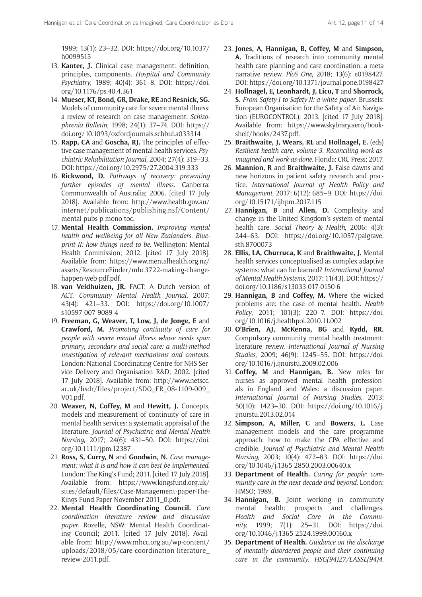1989; 13(1): 23–32. DOI: [https://doi.org/10.1037/](https://doi.org/10.1037/h0099515) [h0099515](https://doi.org/10.1037/h0099515)

- 13. **Kanter, J.** Clinical case management: definition, principles, components. *Hospital and Community Psychiatry*, 1989; 40(4): 361–8. DOI: [https://doi.](https://doi.org/10.1176/ps.40.4.361) [org/10.1176/ps.40.4.361](https://doi.org/10.1176/ps.40.4.361)
- 14. **Mueser, KT, Bond, GR, Drake, RE** and **Resnick, SG.** Models of community care for severe mental illness: a review of research on case management. *Schizophrenia Bulletin*, 1998; 24(1): 37–74. DOI: [https://](https://doi.org/10.1093/oxfordjournals.schbul.a033314) [doi.org/10.1093/oxfordjournals.schbul.a033314](https://doi.org/10.1093/oxfordjournals.schbul.a033314)
- 15. **Rapp, CA** and **Goscha, RJ.** The principles of effective case management of mental health services. *Psychiatric Rehabilitation Journal*, 2004; 27(4): 319–33. DOI:<https://doi.org/10.2975/27.2004.319.333>
- 16. **Rickwood, D.** *Pathways of recovery: preventing further episodes of mental illness*. Canberra: Commonwealth of Australia; 2006. [cited 17 July 2018]. Available from: [http://www.health.gov.au/](http://www.health.gov.au/internet/publications/publishing.nsf/Content/mental-pubs-p-mono-toc) [internet/publications/publishing.nsf/Content/](http://www.health.gov.au/internet/publications/publishing.nsf/Content/mental-pubs-p-mono-toc) [mental-pubs-p-mono-toc.](http://www.health.gov.au/internet/publications/publishing.nsf/Content/mental-pubs-p-mono-toc)
- 17. **Mental Health Commission.** *Improving mental health and wellbeing for all New Zealanders*. *Blueprint II: how things need to be*. Wellington: Mental Health Commission; 2012. [cited 17 July 2018]. Available from: [https://www.mentalhealth.org.nz/](https://www.mentalhealth.org.nz/assets/ResourceFinder/mhc3722-making-change-happen-web-pdf.pdf) [assets/ResourceFinder/mhc3722-making-change](https://www.mentalhealth.org.nz/assets/ResourceFinder/mhc3722-making-change-happen-web-pdf.pdf)[happen-web-pdf.pdf.](https://www.mentalhealth.org.nz/assets/ResourceFinder/mhc3722-making-change-happen-web-pdf.pdf)
- 18. **van Veldhuizen, JR.** FACT: A Dutch version of ACT. *Community Mental Health Journal*, 2007; 43(4): 421–33. DOI: [https://doi.org/10.1007/](https://doi.org/10.1007/s10597-007-9089-4) [s10597-007-9089-4](https://doi.org/10.1007/s10597-007-9089-4)
- 19. **Freeman, G, Weaver, T, Low, J, de Jonge, E** and **Crawford, M.** *Promoting continuity of care for people with severe mental illness whose needs span primary*, *secondary and social care: a multi-method investigation of relevant mechanisms and contexts*. London: National Coordinating Centre for NHS Service Delivery and Organisation R&D; 2002. [cited 17 July 2018]. Available from: [http://www.netscc.](http://www.netscc.ac.uk/hsdr/files/project/SDO_FR_08-1109-009_V01.pdf) [ac.uk/hsdr/files/project/SDO\\_FR\\_08-1109-009\\_](http://www.netscc.ac.uk/hsdr/files/project/SDO_FR_08-1109-009_V01.pdf) [V01.pdf.](http://www.netscc.ac.uk/hsdr/files/project/SDO_FR_08-1109-009_V01.pdf)
- 20. **Weaver, N, Coffey, M** and **Hewitt, J.** Concepts, models and measurement of continuity of care in mental health services: a systematic appraisal of the literature. *Journal of Psychiatric and Mental Health Nursing*, 2017; 24(6): 431–50. DOI: [https://doi.](https://doi.org/10.1111/jpm.12387) [org/10.1111/jpm.12387](https://doi.org/10.1111/jpm.12387)
- 21. **Ross, S, Curry, N** and **Goodwin, N.** *Case management: what it is and how it can best be implemented*. London: The King's Fund; 2011. [cited 17 July 2018]. Available from: [https://www.kingsfund.org.uk/](https://www.kingsfund.org.uk/sites/default/files/Case-Management-paper-The-Kings-Fund-Paper-November-2011_0.pdf) [sites/default/files/Case-Management-paper-The-](https://www.kingsfund.org.uk/sites/default/files/Case-Management-paper-The-Kings-Fund-Paper-November-2011_0.pdf)[Kings-Fund-Paper-November-2011\\_0.pdf](https://www.kingsfund.org.uk/sites/default/files/Case-Management-paper-The-Kings-Fund-Paper-November-2011_0.pdf).
- 22. **Mental Health Coordinating Council.** *Care coordination literature review and discussion paper*. Rozelle, NSW: Mental Health Coordinating Council; 2011. [cited 17 July 2018]. Available from: [http://www.mhcc.org.au/wp-content/](http://www.mhcc.org.au/wp-content/uploads/2018/05/care-coordination-literature_review-2011.pdf) [uploads/2018/05/care-coordination-literature\\_](http://www.mhcc.org.au/wp-content/uploads/2018/05/care-coordination-literature_review-2011.pdf) [review-2011.pdf](http://www.mhcc.org.au/wp-content/uploads/2018/05/care-coordination-literature_review-2011.pdf).
- 23. **Jones, A, Hannigan, B, Coffey, M** and **Simpson, A.** Traditions of research into community mental health care planning and care coordination: a meta narrative review. *PloS One*, 2018; 13(6): e0198427. DOI:<https://doi.org/10.1371/journal.pone.0198427>
- 24. **Hollnagel, E, Leonhardt, J, Licu, T** and **Shorrock, S.** *From Safety-I to Safety-II: a white paper*. Brussels: European Organisation for the Safety of Air Navigation (EUROCONTROL); 2013. [cited 17 July 2018]. Available from: [https://www.skybrary.aero/book](https://www.skybrary.aero/bookshelf/books/2437.pdf)[shelf/books/2437.pdf](https://www.skybrary.aero/bookshelf/books/2437.pdf).
- 25. **Braithwaite, J, Wears, RL** and **Hollnagel, E.** (eds) *Resilient health care*, *volume 3*. *Reconciling work-asimagined and work-as-done*. Florida: CRC Press; 2017.
- 26. **Mannion, R** and **Braithwaite, J.** False dawns and new horizons in patient safety research and practice. *International Journal of Health Policy and Management*, 2017; 6(12): 685–9. DOI: [https://doi.](https://doi.org/10.15171/ijhpm.2017.115) [org/10.15171/ijhpm.2017.115](https://doi.org/10.15171/ijhpm.2017.115)
- 27. **Hannigan, B** and **Allen, D.** Complexity and change in the United Kingdom's system of mental health care. *Social Theory & Health*, 2006; 4(3): 244–63. DOI: [https://doi.org/10.1057/palgrave.](https://doi.org/10.1057/palgrave.sth.8700073) [sth.8700073](https://doi.org/10.1057/palgrave.sth.8700073)
- 28. **Ellis, LA, Churruca, K** and **Braithwaite, J.** Mental health services conceptualised as complex adaptive systems: what can be learned? *International Journal of Mental Health Systems*, 2017; 11(43). DOI: [https://](https://doi.org/10.1186/s13033-017-0150-6) [doi.org/10.1186/s13033-017-0150-6](https://doi.org/10.1186/s13033-017-0150-6)
- 29. **Hannigan, B** and **Coffey, M.** Where the wicked problems are: the case of mental health. *Health Policy*, 2011; 101(3): 220–7. DOI: [https://doi.](https://doi.org/10.1016/j.healthpol.2010.11.002) [org/10.1016/j.healthpol.2010.11.002](https://doi.org/10.1016/j.healthpol.2010.11.002)
- 30. **O'Brien, AJ, McKenna, BG** and **Kydd, RR.** Compulsory community mental health treatment: literature review. *International Journal of Nursing Studies*, 2009; 46(9): 1245–55. DOI: [https://doi.](https://doi.org/10.1016/j.ijnurstu.2009.02.006) [org/10.1016/j.ijnurstu.2009.02.006](https://doi.org/10.1016/j.ijnurstu.2009.02.006)
- 31. **Coffey, M** and **Hannigan, B.** New roles for nurses as approved mental health professionals in England and Wales: a discussion paper. *International Journal of Nursing Studies*, 2013; 50(10): 1423–30. DOI: [https://doi.org/10.1016/j.](https://doi.org/10.1016/j.ijnurstu.2013.02.014) [ijnurstu.2013.02.014](https://doi.org/10.1016/j.ijnurstu.2013.02.014)
- 32. **Simpson, A, Miller, C** and **Bowers, L.** Case management models and the care programme approach: how to make the CPA effective and credible. *Journal of Psychiatric and Mental Health Nursing*, 2003; 10(4): 472–83. DOI: [https://doi.](https://doi.org/10.1046/j.1365-2850.2003.00640.x) [org/10.1046/j.1365-2850.2003.00640.x](https://doi.org/10.1046/j.1365-2850.2003.00640.x)
- 33. **Department of Health.** *Caring for people: community care in the next decade and beyond*. London: HMSO; 1989.
- 34. **Hannigan, B.** Joint working in community mental health: prospects and challenges. *Health and Social Care in the Community*, 1999; 7(1): 25–31. DOI: [https://doi.](https://doi.org/10.1046/j.1365-2524.1999.00160.x) [org/10.1046/j.1365-2524.1999.00160.x](https://doi.org/10.1046/j.1365-2524.1999.00160.x)
- 35. **Department of Health.** *Guidance on the discharge of mentally disordered people and their continuing care in the community*. *HSG(94)27/LASSL(94)4*.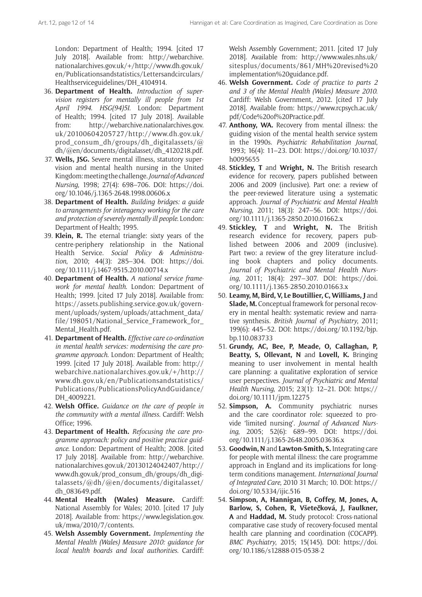London: Department of Health; 1994. [cited 17 July 2018]. Available from: [http://webarchive.](http://webarchive.nationalarchives.gov.uk/+/http://www.dh.gov.uk/en/Publicationsandstatistics/Lettersandcirculars/Healthserviceguidelines/DH_4104914) [nationalarchives.gov.uk/+/http://www.dh.gov.uk/](http://webarchive.nationalarchives.gov.uk/+/http://www.dh.gov.uk/en/Publicationsandstatistics/Lettersandcirculars/Healthserviceguidelines/DH_4104914) [en/Publicationsandstatistics/Lettersandcirculars/](http://webarchive.nationalarchives.gov.uk/+/http://www.dh.gov.uk/en/Publicationsandstatistics/Lettersandcirculars/Healthserviceguidelines/DH_4104914) [Healthserviceguidelines/DH\\_4104914](http://webarchive.nationalarchives.gov.uk/+/http://www.dh.gov.uk/en/Publicationsandstatistics/Lettersandcirculars/Healthserviceguidelines/DH_4104914).

- 36. **Department of Health.** *Introduction of supervision registers for mentally ill people from 1st April 1994*. *HSG(94)5I*. London: Department of Health; 1994. [cited 17 July 2018]. Available from: [http://webarchive.nationalarchives.gov.](http://webarchive.nationalarchives.gov.uk/20100604205727/http://www.dh.gov.uk/prod_consum_dh/groups/dh_digitalassets/@dh/@en/documents/digitalasset/dh_4120218.pdf) [uk/20100604205727/http://www.dh.gov.uk/](http://webarchive.nationalarchives.gov.uk/20100604205727/http://www.dh.gov.uk/prod_consum_dh/groups/dh_digitalassets/@dh/@en/documents/digitalasset/dh_4120218.pdf) [prod\\_consum\\_dh/groups/dh\\_digitalassets/@](http://webarchive.nationalarchives.gov.uk/20100604205727/http://www.dh.gov.uk/prod_consum_dh/groups/dh_digitalassets/@dh/@en/documents/digitalasset/dh_4120218.pdf) [dh/@en/documents/digitalasset/dh\\_4120218.pdf.](http://webarchive.nationalarchives.gov.uk/20100604205727/http://www.dh.gov.uk/prod_consum_dh/groups/dh_digitalassets/@dh/@en/documents/digitalasset/dh_4120218.pdf)
- 37. **Wells, JSG.** Severe mental illness, statutory supervision and mental health nursing in the United Kingdom: meeting the challenge. *Journal of Advanced Nursing*, 1998; 27(4): 698–706. DOI: [https://doi.](https://doi.org/10.1046/j.1365-2648.1998.00606.x) [org/10.1046/j.1365-2648.1998.00606.x](https://doi.org/10.1046/j.1365-2648.1998.00606.x)
- 38. **Department of Health.** *Building bridges: a guide to arrangements for interagency working for the care and protection of severely mentally ill people*. London: Department of Health; 1995.
- 39. **Klein, R.** The eternal triangle: sixty years of the centre-periphery relationship in the National Health Service. *Social Policy & Administration*, 2010; 44(3): 285–304. DOI: [https://doi.](https://doi.org/10.1111/j.1467-9515.2010.00714.x) [org/10.1111/j.1467-9515.2010.00714.x](https://doi.org/10.1111/j.1467-9515.2010.00714.x)
- 40. **Department of Health.** *A national service framework for mental health*. London: Department of Health; 1999. [cited 17 July 2018]. Available from: [https://assets.publishing.service.gov.uk/govern](https://assets.publishing.service.gov.uk/government/uploads/system/uploads/attachment_data/file/198051/National_Service_Framework_for_Mental_Health.pdf)[ment/uploads/system/uploads/attachment\\_data/](https://assets.publishing.service.gov.uk/government/uploads/system/uploads/attachment_data/file/198051/National_Service_Framework_for_Mental_Health.pdf) [file/198051/National\\_Service\\_Framework\\_for\\_](https://assets.publishing.service.gov.uk/government/uploads/system/uploads/attachment_data/file/198051/National_Service_Framework_for_Mental_Health.pdf) [Mental\\_Health.pdf.](https://assets.publishing.service.gov.uk/government/uploads/system/uploads/attachment_data/file/198051/National_Service_Framework_for_Mental_Health.pdf)
- 41. **Department of Health.** *Effective care co-ordination in mental health services: modernising the care programme approach*. London: Department of Health; 1999. [cited 17 July 2018]. Available from: [http://](http://webarchive.nationalarchives.gov.uk/+/http://www.dh.gov.uk/en/Publicationsandstatistics/Publications/PublicationsPolicyAndGuidance/DH_4009221) [webarchive.nationalarchives.gov.uk/+/http://](http://webarchive.nationalarchives.gov.uk/+/http://www.dh.gov.uk/en/Publicationsandstatistics/Publications/PublicationsPolicyAndGuidance/DH_4009221) [www.dh.gov.uk/en/Publicationsandstatistics/](http://webarchive.nationalarchives.gov.uk/+/http://www.dh.gov.uk/en/Publicationsandstatistics/Publications/PublicationsPolicyAndGuidance/DH_4009221) [Publications/PublicationsPolicyAndGuidance/](http://webarchive.nationalarchives.gov.uk/+/http://www.dh.gov.uk/en/Publicationsandstatistics/Publications/PublicationsPolicyAndGuidance/DH_4009221) DH 4009221.
- 42. **Welsh Office.** *Guidance on the care of people in the community with a mental illness*. Cardiff: Welsh Office; 1996.
- 43. **Department of Health.** *Refocusing the care programme approach: policy and positive practice guidance*. London: Department of Health; 2008. [cited 17 July 2018]. Available from: [http://webarchive.](http://webarchive.nationalarchives.gov.uk/20130124042407/http://www.dh.gov.uk/prod_consum_dh/groups/dh_digitalassets/@dh/@en/documents/digitalasset/dh_083649.pdf) [nationalarchives.gov.uk/20130124042407/http://](http://webarchive.nationalarchives.gov.uk/20130124042407/http://www.dh.gov.uk/prod_consum_dh/groups/dh_digitalassets/@dh/@en/documents/digitalasset/dh_083649.pdf) [www.dh.gov.uk/prod\\_consum\\_dh/groups/dh\\_digi](http://webarchive.nationalarchives.gov.uk/20130124042407/http://www.dh.gov.uk/prod_consum_dh/groups/dh_digitalassets/@dh/@en/documents/digitalasset/dh_083649.pdf)[talassets/@dh/@en/documents/digitalasset/](http://webarchive.nationalarchives.gov.uk/20130124042407/http://www.dh.gov.uk/prod_consum_dh/groups/dh_digitalassets/@dh/@en/documents/digitalasset/dh_083649.pdf) [dh\\_083649.pdf](http://webarchive.nationalarchives.gov.uk/20130124042407/http://www.dh.gov.uk/prod_consum_dh/groups/dh_digitalassets/@dh/@en/documents/digitalasset/dh_083649.pdf).
- 44. **Mental Health (Wales) Measure.** Cardiff: National Assembly for Wales; 2010. [cited 17 July 2018]. Available from: [https://www.legislation.gov.](https://www.legislation.gov.uk/mwa/2010/7/contents) [uk/mwa/2010/7/contents](https://www.legislation.gov.uk/mwa/2010/7/contents).
- 45. **Welsh Assembly Government.** *Implementing the Mental Health (Wales) Measure 2010: guidance for local health boards and local authorities*. Cardiff:

Welsh Assembly Government; 2011. [cited 17 July 2018]. Available from: [http://www.wales.nhs.uk/](http://www.wales.nhs.uk/sitesplus/documents/861/MH%20revised%20implementation%20guidance.pdf) [sitesplus/documents/861/MH%20revised%20](http://www.wales.nhs.uk/sitesplus/documents/861/MH%20revised%20implementation%20guidance.pdf) [implementation%20guidance.pdf](http://www.wales.nhs.uk/sitesplus/documents/861/MH%20revised%20implementation%20guidance.pdf).

- 46. **Welsh Government.** *Code of practice to parts 2 and 3 of the Mental Health (Wales) Measure 2010*. Cardiff: Welsh Government, 2012. [cited 17 July 2018]. Available from: [https://www.rcpsych.ac.uk/](https://www.rcpsych.ac.uk/pdf/Code%20of%20Practice.pdf) [pdf/Code%20of%20Practice.pdf.](https://www.rcpsych.ac.uk/pdf/Code%20of%20Practice.pdf)
- 47. **Anthony, WA.** Recovery from mental illness: the guiding vision of the mental health service system in the 1990s. *Psychiatric Rehabilitation Journal*, 1993; 16(4): 11–23. DOI: [https://doi.org/10.1037/](https://doi.org/10.1037/h0095655) [h0095655](https://doi.org/10.1037/h0095655)
- 48. **Stickley, T** and **Wright, N.** The British research evidence for recovery, papers published between 2006 and 2009 (inclusive). Part one: a review of the peer-reviewed literature using a systematic approach. *Journal of Psychiatric and Mental Health Nursing*, 2011; 18(3): 247–56. DOI: [https://doi.](https://doi.org/10.1111/j.1365-2850.2010.01662.x) [org/10.1111/j.1365-2850.2010.01662.x](https://doi.org/10.1111/j.1365-2850.2010.01662.x)
- 49. **Stickley, T** and **Wright, N.** The British research evidence for recovery, papers published between 2006 and 2009 (inclusive). Part two: a review of the grey literature including book chapters and policy documents. *Journal of Psychiatric and Mental Health Nursing*, 2011; 18(4): 297–307. DOI: [https://doi.](https://doi.org/10.1111/j.1365-2850.2010.01663.x) [org/10.1111/j.1365-2850.2010.01663.x](https://doi.org/10.1111/j.1365-2850.2010.01663.x)
- 50. **Leamy, M, Bird, V, Le Boutillier, C, Williams, J** and **Slade, M.** Conceptual framework for personal recovery in mental health: systematic review and narrative synthesis. *British Journal of Psychiatry*, 2011; 199(6): 445–52. DOI: [https://doi.org/10.1192/bjp.](https://doi.org/10.1192/bjp.bp.110.083733) [bp.110.083733](https://doi.org/10.1192/bjp.bp.110.083733)
- 51. **Grundy, AC, Bee, P, Meade, O, Callaghan, P, Beatty, S, Ollevant, N** and **Lovell, K.** Bringing meaning to user involvement in mental health care planning: a qualitative exploration of service user perspectives. *Journal of Psychiatric and Mental Health Nursing*, 2015; 23(1): 12–21. DOI: [https://](https://doi.org/10.1111/jpm.12275) [doi.org/10.1111/jpm.12275](https://doi.org/10.1111/jpm.12275)
- 52. **Simpson, A.** Community psychiatric nurses and the care coordinator role: squeezed to provide 'limited nursing'. *Journal of Advanced Nursing*, 2005; 52(6): 689–99. DOI: [https://doi.](https://doi.org/10.1111/j.1365-2648.2005.03636.x) [org/10.1111/j.1365-2648.2005.03636.x](https://doi.org/10.1111/j.1365-2648.2005.03636.x)
- 53. **Goodwin, N** and **Lawton-Smith, S.** Integrating care for people with mental illness: the care programme approach in England and its implications for longterm conditions management. *International Journal of Integrated Care*, 2010 31 March; 10. DOI: [https://](https://doi.org/10.5334/ijic.516) [doi.org/10.5334/ijic.516](https://doi.org/10.5334/ijic.516)
- 54. **Simpson, A, Hannigan, B, Coffey, M, Jones, A, Barlow, S, Cohen, R, Všete**č**ková, J, Faulkner, A** and **Haddad, M.** Study protocol: Cross-national comparative case study of recovery-focused mental health care planning and coordination (COCAPP). *BMC Psychiatry*, 2015; 15(145). DOI: [https://doi.](https://doi.org/10.1186/s12888-015-0538-2) [org/10.1186/s12888-015-0538-2](https://doi.org/10.1186/s12888-015-0538-2)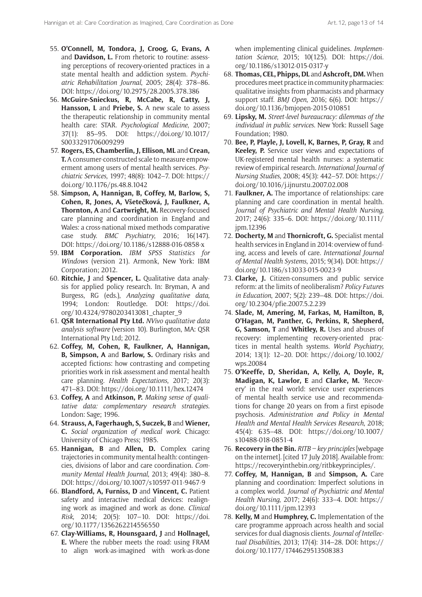- 55. **O'Connell, M, Tondora, J, Croog, G, Evans, A** and **Davidson, L.** From rhetoric to routine: assessing perceptions of recovery-oriented practices in a state mental health and addiction system. *Psychiatric Rehabilitation Journal*, 2005; 28(4): 378–86. DOI:<https://doi.org/10.2975/28.2005.378.386>
- 56. **McGuire-Snieckus, R, McCabe, R, Catty, J, Hansson, L** and **Priebe, S.** A new scale to assess the therapeutic relationship in community mental health care: STAR. *Psychological Medicine*, 2007; 37(1): 85–95. DOI: [https://doi.org/10.1017/](https://doi.org/10.1017/S0033291706009299) [S0033291706009299](https://doi.org/10.1017/S0033291706009299)
- 57. **Rogers, ES, Chamberlin, J, Ellison, ML** and **Crean, T.** A consumer-constructed scale to measure empowerment among users of mental health services. *Psychiatric Services*, 1997; 48(8): 1042–7. DOI: [https://](https://doi.org/10.1176/ps.48.8.1042) [doi.org/10.1176/ps.48.8.1042](https://doi.org/10.1176/ps.48.8.1042)
- 58. **Simpson, A, Hannigan, B, Coffey, M, Barlow, S, Cohen, R, Jones, A, Všete**č**ková, J, Faulkner, A, Thornton, A** and **Cartwright, M.** Recovery-focused care planning and coordination in England and Wales: a cross-national mixed methods comparative case study. *BMC Psychiatry*, 2016; 16(147). DOI:<https://doi.org/10.1186/s12888-016-0858-x>
- 59. **IBM Corporation.** *IBM SPSS Statistics for Windows* (version 21). Armonk, New York: IBM Corporation; 2012.
- 60. **Ritchie, J** and **Spencer, L.** Qualitative data analysis for applied policy research. In: Bryman, A and Burgess, RG (eds.), *Analyzing qualitative data*, 1994; London: Routledge. DOI: [https://doi.](https://doi.org/10.4324/9780203413081_chapter_9) [org/10.4324/9780203413081\\_chapter\\_9](https://doi.org/10.4324/9780203413081_chapter_9)
- 61. **QSR International Pty Ltd.** *NVivo qualitative data analysis software* (version 10). Burlington, MA: QSR International Pty Ltd; 2012.
- 62. **Coffey, M, Cohen, R, Faulkner, A, Hannigan, B, Simpson, A** and **Barlow, S.** Ordinary risks and accepted fictions: how contrasting and competing priorities work in risk assessment and mental health care planning. *Health Expectations*, 2017; 20(3): 471–83. DOI: <https://doi.org/10.1111/hex.12474>
- 63. **Coffey, A** and **Atkinson, P.** *Making sense of qualitative data: complementary research strategies*. London: Sage; 1996.
- 64. **Strauss, A, Fagerhaugh, S, Suczek, B** and **Wiener, C.** *Social organization of medical work*. Chicago: University of Chicago Press; 1985.
- 65. **Hannigan, B** and **Allen, D.** Complex caring trajectories in community mental health: contingencies, divisions of labor and care coordination. *Community Mental Health Journal*, 2013; 49(4): 380–8. DOI:<https://doi.org/10.1007/s10597-011-9467-9>
- 66. **Blandford, A, Furniss, D** and **Vincent, C.** Patient safety and interactive medical devices: realigning work as imagined and work as done. *Clinical Risk*, 2014; 20(5): 107–10. DOI: [https://doi.](https://doi.org/10.1177/1356262214556550) [org/10.1177/1356262214556550](https://doi.org/10.1177/1356262214556550)
- 67. **Clay-Williams, R, Hounsgaard, J** and **Hollnagel, E.** Where the rubber meets the road: using FRAM to align work-as-imagined with work-as-done

when implementing clinical guidelines. *Implementation Science*, 2015; 10(125). DOI: [https://doi.](https://doi.org/10.1186/s13012-015-0317-y) [org/10.1186/s13012-015-0317-y](https://doi.org/10.1186/s13012-015-0317-y)

- 68. **Thomas, CEL, Phipps, DL** and **Ashcroft, DM.** When procedures meet practice in community pharmacies: qualitative insights from pharmacists and pharmacy support staff. *BMJ Open*, 2016; 6(6). DOI: [https://](https://doi.org/10.1136/bmjopen-2015-010851) [doi.org/10.1136/bmjopen-2015-010851](https://doi.org/10.1136/bmjopen-2015-010851)
- 69. **Lipsky, M.** *Street-level bureaucracy: dilemmas of the individual in public services*. New York: Russell Sage Foundation; 1980.
- 70. **Bee, P, Playle, J, Lovell, K, Barnes, P, Gray, R** and **Keeley, P.** Service user views and expectations of UK-registered mental health nurses: a systematic review of empirical research. *International Journal of Nursing Studies*, 2008; 45(3): 442–57. DOI: [https://](https://doi.org/10.1016/j.ijnurstu.2007.02.008) [doi.org/10.1016/j.ijnurstu.2007.02.008](https://doi.org/10.1016/j.ijnurstu.2007.02.008)
- 71. **Faulkner, A.** The importance of relationships: care planning and care coordination in mental health. *Journal of Psychiatric and Mental Health Nursing*, 2017; 24(6): 335–6. DOI: [https://doi.org/10.1111/](https://doi.org/10.1111/jpm.12396) [jpm.12396](https://doi.org/10.1111/jpm.12396)
- 72. **Docherty, M** and **Thornicroft, G.** Specialist mental health services in England in 2014: overview of funding, access and levels of care. *International Journal of Mental Health Systems*, 2015; 9(34). DOI: [https://](https://doi.org/10.1186/s13033-015-0023-9) [doi.org/10.1186/s13033-015-0023-9](https://doi.org/10.1186/s13033-015-0023-9)
- 73. **Clarke, J.** Citizen-consumers and public service reform: at the limits of neoliberalism? *Policy Futures in Education*, 2007; 5(2): 239–48. DOI: [https://doi.](https://doi.org/10.2304/pfie.2007.5.2.239) [org/10.2304/pfie.2007.5.2.239](https://doi.org/10.2304/pfie.2007.5.2.239)
- 74. **Slade, M, Amering, M, Farkas, M, Hamilton, B, O'Hagan, M, Panther, G, Perkins, R, Shepherd, G, Samson, T** and **Whitley, R.** Uses and abuses of recovery: implementing recovery-oriented practices in mental health systems. *World Psychiatry*, 2014; 13(1): 12–20. DOI: [https://doi.org/10.1002/](https://doi.org/10.1002/wps.20084) [wps.20084](https://doi.org/10.1002/wps.20084)
- 75. **O'Keeffe, D, Sheridan, A, Kelly, A, Doyle, R, Madigan, K, Lawlor, E** and **Clarke, M.** 'Recovery' in the real world: service user experiences of mental health service use and recommendations for change 20 years on from a first episode psychosis. *Administration and Policy in Mental Health and Mental Health Services Research*, 2018; 45(4): 635–48. DOI: [https://doi.org/10.1007/](https://doi.org/10.1007/s10488-018-0851-4) [s10488-018-0851-4](https://doi.org/10.1007/s10488-018-0851-4)
- 76. **Recovery in the Bin.** *RITB key principles* [webpage on the internet]. [cited 17 July 2018]. Available from: [https://recoveryinthebin.org/ritbkeyprinciples/.](https://recoveryinthebin.org/ritbkeyprinciples/)
- 77. **Coffey, M, Hannigan, B** and **Simpson, A.** Care planning and coordination: Imperfect solutions in a complex world. *Journal of Psychiatric and Mental Health Nursing*, 2017; 24(6): 333–4. DOI: [https://](https://doi.org/10.1111/jpm.12393) [doi.org/10.1111/jpm.12393](https://doi.org/10.1111/jpm.12393)
- 78. **Kelly, M** and **Humphrey, C.** Implementation of the care programme approach across health and social services for dual diagnosis clients. *Journal of Intellectual Disabilities*, 2013; 17(4): 314–28. DOI: [https://](https://doi.org/10.1177/1744629513508383) [doi.org/10.1177/1744629513508383](https://doi.org/10.1177/1744629513508383)